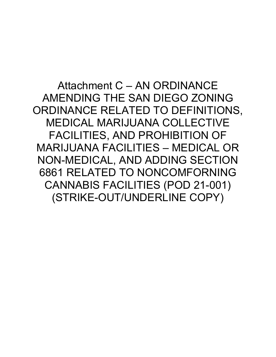Attachment C – AN ORDINANCE AMENDING THE SAN DIEGO ZONING ORDINANCE RELATED TO DEFINITIONS, MEDICAL MARIJUANA COLLECTIVE FACILITIES, AND PROHIBITION OF MARIJUANA FACILITIES – MEDICAL OR NON-MEDICAL, AND ADDING SECTION 6861 RELATED TO NONCOMFORNING CANNABIS FACILITIES (POD 21-001) (STRIKE-OUT/UNDERLINE COPY)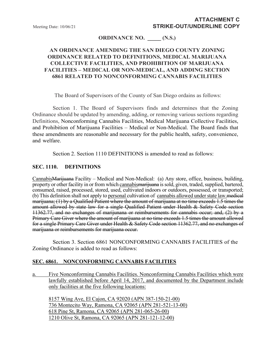# **ORDINANCE NO. \_\_\_\_\_ (N.S.)**

# **AN ORDINANCE AMENDING THE SAN DIEGO COUNTY ZONING ORDINANCE RELATED TO DEFINITIONS, MEDICAL MARIJUANA COLLECTIVE FACILITIES, AND PROHIBITION OF MARIJUANA FACILITIES – MEDICAL OR NON-MEDICAL, AND ADDING SECTION 6861 RELATED TO NONCONFORMING CANNABIS FACILITIES**

The Board of Supervisors of the County of San Diego ordains as follows:

Section 1. The Board of Supervisors finds and determines that the Zoning Ordinance should be updated by amending, adding, or removing various sections regarding Definitions, Nonconforming Cannabis Facilities, Medical Marijuana Collective Facilities, and Prohibition of Marijuana Facilities – Medical or Non-Medical. The Board finds that these amendments are reasonable and necessary for the public health, safety, convenience, and welfare.

Section 2. Section 1110 DEFINITIONS is amended to read as follows:

#### **SEC. 1110. DEFINITIONS**

CannabisMarijuana Facility – Medical and Non-Medical: (a) Any store, office, business, building, property or other facility in or from which cannabismarijuana is sold, given, traded, supplied, bartered, consumed, raised, processed, stored, used, cultivated indoors or outdoors, possessed, or transported; (b) This definition shall not apply to personal cultivation of cannabis allowed under state law.medical marijuana; (1) by a Qualified Patient where the amount of marijuana at no time exceeds 1.5 times the amount allowed by state law for a single Qualified Patient under Health & Safety Code section 11362.77, and no exchanges of marijunana or reimbursements for cannabis occur; and, (2) by a Primary Care Giver where the amount of marijuana at no time exceeds 1.5 times the amount allowed for a single Primary Care Giver under Health & Safety Code section 11362.77, and no exchanges of marijuana or reimbursements for marijuana occur.

Section 3. Section 6861 NONCONFORMING CANNABIS FACILITIES of the Zoning Ordinance is added to read as follows:

### **SEC. 6861. NONCONFORMING CANNABIS FACILITIES**

a. Five Nonconforming Cannabis Facilities. Nonconforming Cannabis Facilities which were lawfully established before April 14, 2017, and documented by the Department include only facilities at the five following locations:

8157 Wing Ave, El Cajon, CA 92020 (APN 387-150-21-00) 736 Montecito Way, Ramona, CA 92065 (APN 281-521-13-00) 618 Pine St, Ramona, CA 92065 (APN 281-065-26-00) 1210 Olive St, Ramona, CA 92065 (APN 281-121-12-00)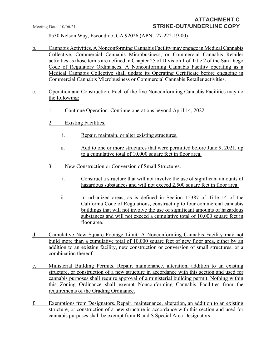8530 Nelson Way, Escondido, CA 92026 (APN 127-222-19-00)

- b. Cannabis Activities. A Nonconforming Cannabis Facility may engage in Medical Cannabis Collective, Commercial Cannabis Microbusiness, or Commercial Cannabis Retailer activities as those terms are defined in Chapter 25 of Division 1 of Title 2 of the San Diego Code of Regulatory Ordinances. A Nonconforming Cannabis Facility operating as a Medical Cannabis Collective shall update its Operating Certificate before engaging in Commercial Cannabis Microbusiness or Commercial Cannabis Retailer activities.
- c. Operation and Construction. Each of the five Nonconforming Cannabis Facilities may do the following:
	- 1. Continue Operation. Continue operations beyond April 14, 2022.
	- 2. Existing Facilities.
		- i. Repair, maintain, or alter existing structures.
		- ii. Add to one or more structures that were permitted before June 9, 2021, up to a cumulative total of 10,000 square feet in floor area.
	- 3. New Construction or Conversion of Small Structures.
		- i. Construct a structure that will not involve the use of significant amounts of hazardous substances and will not exceed 2,500 square feet in floor area.
		- ii. In urbanized areas, as is defined in Section 15387 of Title 14 of the California Code of Regulations, construct up to four commercial cannabis buildings that will not involve the use of significant amounts of hazardous substances and will not exceed a cumulative total of 10,000 square feet in floor area.
- d. Cumulative New Square Footage Limit. A Nonconforming Cannabis Facility may not build more than a cumulative total of 10,000 square feet of new floor area, either by an addition to an existing facility, new construction or conversion of small structures, or a combination thereof.
- e. Ministerial Building Permits. Repair, maintenance, alteration, addition to an existing structure, or construction of a new structure in accordance with this section and used for cannabis purposes shall require approval of a ministerial building permit. Nothing within this Zoning Ordinance shall exempt Nonconforming Cannabis Facilities from the requirements of the Grading Ordinance.
- f. Exemptions from Designators. Repair, maintenance, alteration, an addition to an existing structure, or construction of a new structure in accordance with this section and used for cannabis purposes shall be exempt from B and S Special Area Designators.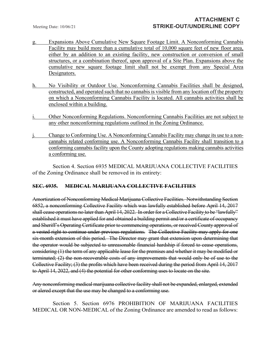- g. Expansions Above Cumulative New Square Footage Limit. A Nonconforming Cannabis Facility may build more than a cumulative total of 10,000 square feet of new floor area, either by an addition to an existing facility, new construction or conversion of small structures, or a combination thereof, upon approval of a Site Plan. Expansions above the cumulative new square footage limit shall not be exempt from any Special Area Designators.
- h. No Visibility or Outdoor Use. Nonconforming Cannabis Facilities shall be designed, constructed, and operated such that no cannabis is visible from any location off the property on which a Nonconforming Cannabis Facility is located. All cannabis activities shall be enclosed within a building.
- i. Other Nonconforming Regulations. Nonconforming Cannabis Facilities are not subject to any other nonconforming regulations outlined in the Zoning Ordinance.
- Change to Conforming Use. A Nonconforming Cannabis Facility may change its use to a noncannabis related conforming use. A Nonconforming Cannabis Facility shall transition to a conforming cannabis facility upon the County adopting regulations making cannabis activities a conforming use.

Section 4. Section 6935 MEDICAL MARIJUANA COLLECTIVE FACILITIES of the Zoning Ordinance shall be removed in its entirety:

### **SEC. 6935. MEDICAL MARIJUANA COLLECTIVE FACILITIES**

Amortization of Nonconforming Medical Marijuana Collective Facilities. Notwithstanding Section 6852, a nonconforming Collective Facility which was lawfully established before April 14, 2017 shall cease operations no later than April 14, 2022. In order for a Collective Facility to be "lawfully" established it must have applied for and obtained a building permit and/or a certificate of occupancy and Sheriff's Operating Certificate prior to commencing operations, or received County approval of a vested right to continue under previous regulations. The Collective Facility may apply for one six-month extension of this period. The Director may grant that extension upon determining that the operator would be subjected to unreasonable financial hardship if forced to cease operations, considering (1) the term of any applicable lease for the premises and whether it may be modified or terminated; (2) the non-recoverable costs of any improvements that would only be of use to the Collective Facility; (3) the profits which have been received during the period from April 14, 2017 to April 14, 2022, and (4) the potential for other conforming uses to locate on the site.

Any nonconforming medical marijuana collective facility shall not be expanded, enlarged, extended or alered except that the use may be changed to a conforming use.

Section 5. Section 6976 PROHIBITION OF MARIJUANA FACILITIES MEDICAL OR NON-MEDICAL of the Zoning Ordinance are amended to read as follows: